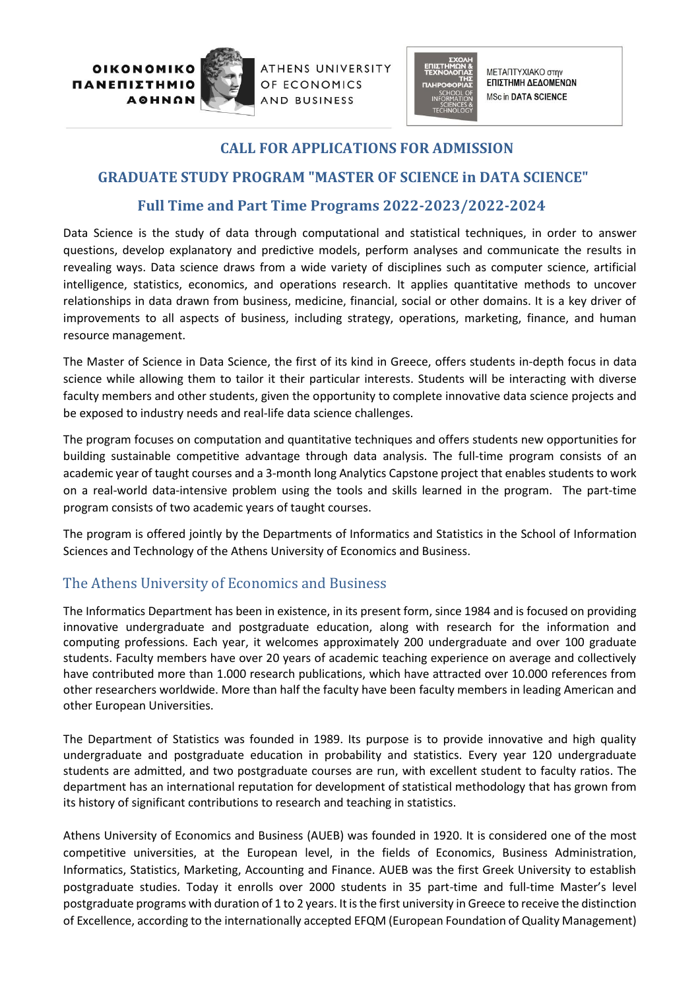ΠΑΝΕΠΙΣΤΗΜΙΟ **AOHNON** 



ATHENS UNIVERSITY OF ECONOMICS AND BUSINESS



ΜΕΤΑΠΤΥΧΙΑΚΟ στην ΕΠΙΣΤΗΜΗ ΔΕΔΟΜΕΝΩΝ **MSc in DATA SCIENCE** 

### **CALL FOR APPLICATIONS FOR ADMISSION**

# **GRADUATE STUDY PROGRAM "MASTER OF SCIENCE in DATA SCIENCE"**

## **Full Time and Part Time Programs 2022-2023/2022-2024**

Data Science is the study of data through computational and statistical techniques, in order to answer questions, develop explanatory and predictive models, perform analyses and communicate the results in revealing ways. Data science draws from a wide variety of disciplines such as computer science, artificial intelligence, statistics, economics, and operations research. It applies quantitative methods to uncover relationships in data drawn from business, medicine, financial, social or other domains. It is a key driver of improvements to all aspects of business, including strategy, operations, marketing, finance, and human resource management.

The Master of Science in Data Science, the first of its kind in Greece, offers students in-depth focus in data science while allowing them to tailor it their particular interests. Students will be interacting with diverse faculty members and other students, given the opportunity to complete innovative data science projects and be exposed to industry needs and real-life data science challenges.

The program focuses on computation and quantitative techniques and offers students new opportunities for building sustainable competitive advantage through data analysis. The full-time program consists of an academic year of taught courses and a 3-month long Analytics Capstone project that enables students to work on a real-world data-intensive problem using the tools and skills learned in the program. The part-time program consists of two academic years of taught courses.

The program is offered jointly by the Departments of Informatics and Statistics in the School of Information Sciences and Technology of the Athens University of Economics and Business.

## The Athens University of Economics and Business

The Informatics Department has been in existence, in its present form, since 1984 and is focused on providing innovative undergraduate and postgraduate education, along with research for the information and computing professions. Each year, it welcomes approximately 200 undergraduate and over 100 graduate students. Faculty members have over 20 years of academic teaching experience on average and collectively have contributed more than 1.000 research publications, which have attracted over 10.000 references from other researchers worldwide. More than half the faculty have been faculty members in leading American and other European Universities.

The Department of Statistics was founded in 1989. Its purpose is to provide innovative and high quality undergraduate and postgraduate education in probability and statistics. Every year 120 undergraduate students are admitted, and two postgraduate courses are run, with excellent student to faculty ratios. The department has an international reputation for development of statistical methodology that has grown from its history of significant contributions to research and teaching in statistics.

Athens University of Economics and Business (AUEB) was founded in 1920. It is considered one of the most competitive universities, at the European level, in the fields of Economics, Business Administration, Informatics, Statistics, Marketing, Accounting and Finance. AUEB was the first Greek University to establish postgraduate studies. Today it enrolls over 2000 students in 35 part-time and full-time Master's level postgraduate programs with duration of 1 to 2 years. It is the first university in Greece to receive the distinction of Excellence, according to the internationally accepted EFQM (European Foundation of Quality Management)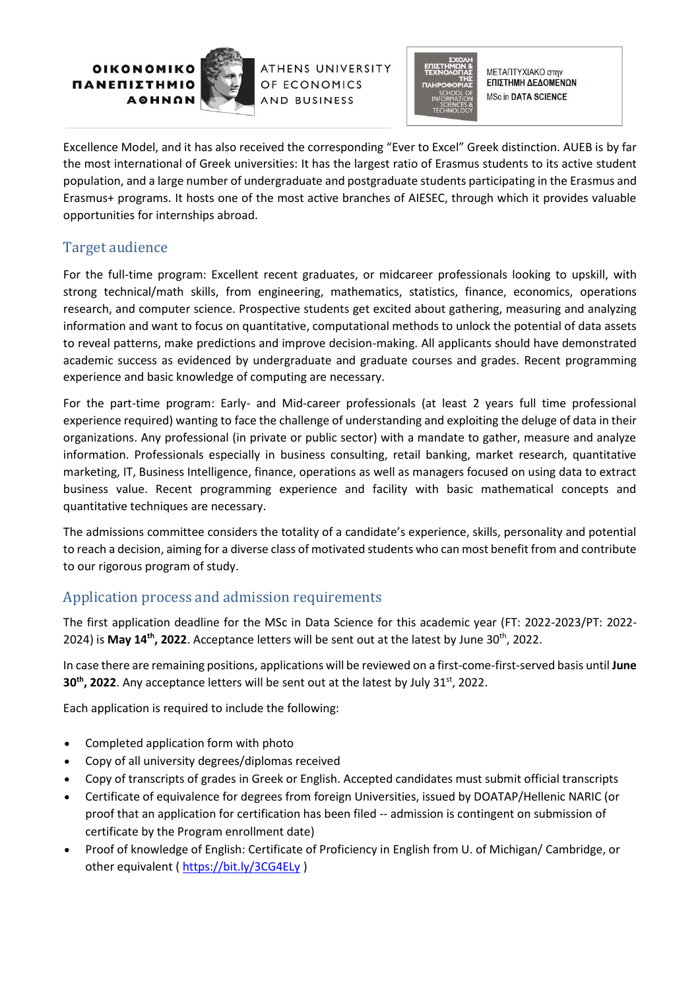ΠΑΝΕΠΙΣΤΗΜΙΟ **AOHNON** 



**ATHENS UNIVERSITY** OF ECONOMICS AND BUSINESS



ΜΕΤΑΠΤΥΧΙΑΚΟ στην ΕΠΙΣΤΗΜΗ ΔΕΔΟΜΕΝΩΝ **MSc in DATA SCIENCE** 

Excellence Model, and it has also received the corresponding "Ever to Excel" Greek distinction. AUEB is by far the most international of Greek universities: It has the largest ratio of Erasmus students to its active student population, and a large number of undergraduate and postgraduate students participating in the Erasmus and Erasmus+ programs. It hosts one of the most active branches of AIΕSEC, through which it provides valuable opportunities for internships abroad.

### Target audience

For the full-time program: Excellent recent graduates, or midcareer professionals looking to upskill, with strong technical/math skills, from engineering, mathematics, statistics, finance, economics, operations research, and computer science. Prospective students get excited about gathering, measuring and analyzing information and want to focus on quantitative, computational methods to unlock the potential of data assets to reveal patterns, make predictions and improve decision-making. All applicants should have demonstrated academic success as evidenced by undergraduate and graduate courses and grades. Recent programming experience and basic knowledge of computing are necessary.

For the part-time program: Early- and Mid-career professionals (at least 2 years full time professional experience required) wanting to face the challenge of understanding and exploiting the deluge of data in their organizations. Any professional (in private or public sector) with a mandate to gather, measure and analyze information. Professionals especially in business consulting, retail banking, market research, quantitative marketing, IT, Business Intelligence, finance, operations as well as managers focused on using data to extract business value. Recent programming experience and facility with basic mathematical concepts and quantitative techniques are necessary.

The admissions committee considers the totality of a candidate's experience, skills, personality and potential to reach a decision, aiming for a diverse class of motivated students who can most benefit from and contribute to our rigorous program of study.

### Application process and admission requirements

The first application deadline for the MSc in Data Science for this academic year (FT: 2022-2023/PT: 2022- 2024) is **May 14th , 2022**. Acceptance letters will be sent out at the latest by June 30th , 2022.

In case there are remaining positions, applications will be reviewed on a first-come-first-served basis until **June 30<sup>th</sup>, 2022.** Any acceptance letters will be sent out at the latest by July 31<sup>st</sup>, 2022.

Each application is required to include the following:

- Completed application form with photo
- Copy of all university degrees/diplomas received
- Copy of transcripts of grades in Greek or English. Accepted candidates must submit official transcripts
- Certificate of equivalence for degrees from foreign Universities, issued by DOATAP/Hellenic NARIC (or proof that an application for certification has been filed -- admission is contingent on submission of certificate by the Program enrollment date)
- Proof of knowledge of English: Certificate of Proficiency in English from U. of Michigan/ Cambridge, or other equivalent (<https://bit.ly/3CG4ELy> )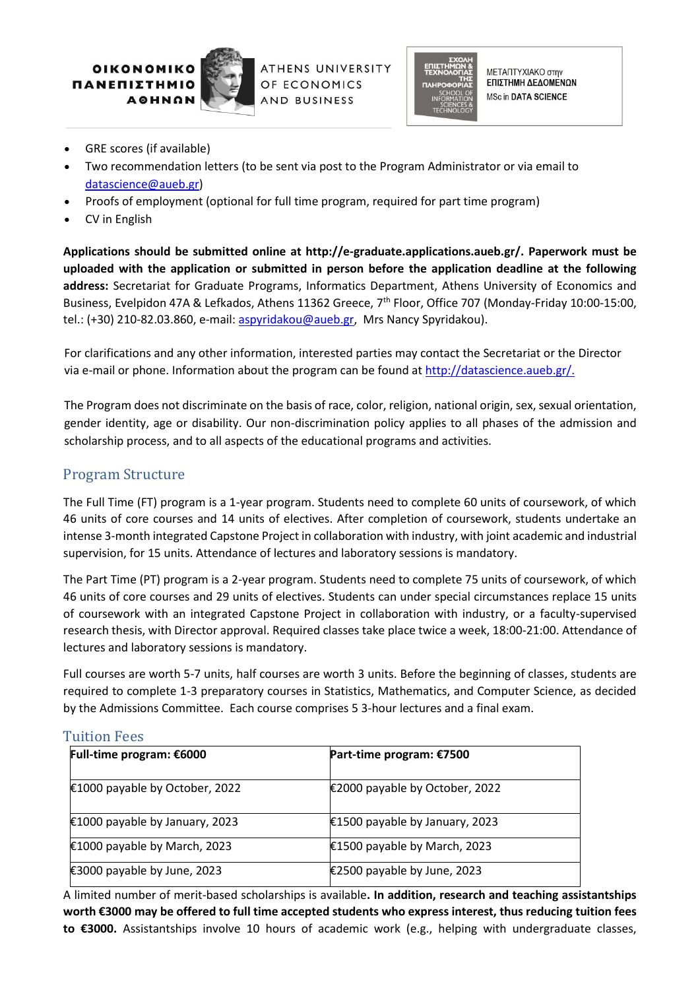ΠΑΝΕΠΙΣ **AOHNON** 



ATHENS UNIVERSITY OF ECONOMICS AND BUSINESS



ΜΕΤΑΠΤΥΧΙΑΚΟ στην ΕΠΙΣΤΗΜΗ ΔΕΔΟΜΕΝΩΝ **MSc in DATA SCIENCE** 

- GRE scores (if available)
- Two recommendation letters (to be sent via post to the Program Administrator or via email to [datascience@aueb.gr\)](mailto:datascience@aueb.gr)
- Proofs of employment (optional for full time program, required for part time program)
- CV in English

**Applications should be submitted online at http://e-graduate.applications.aueb.gr/. Paperwork must be uploaded with the application or submitted in person before the application deadline at the following address:** Secretariat for Graduate Programs, Informatics Department, Athens University of Economics and Business, Evelpidon 47A & Lefkados, Athens 11362 Greece, 7<sup>th</sup> Floor, Office 707 (Monday-Friday 10:00-15:00, tel.: (+30) 210-82.03.860, e-mail: [aspyridakou@aueb.gr,](mailto:aspyridakou@aueb.gr) Mrs Nancy Spyridakou).

For clarifications and any other information, interested parties may contact the Secretariat or the Director via e-mail or phone. Information about the program can be found a[t http://datascience.aueb.gr/.](http://datascience.aueb.gr/)

The Program does not discriminate on the basis of race, color, religion, national origin, sex, sexual orientation, gender identity, age or disability. Our non-discrimination policy applies to all phases of the admission and scholarship process, and to all aspects of the educational programs and activities.

#### Program Structure

The Full Time (FT) program is a 1-year program. Students need to complete 60 units of coursework, of which 46 units of core courses and 14 units of electives. After completion of coursework, students undertake an intense 3-month integrated Capstone Project in collaboration with industry, with joint academic and industrial supervision, for 15 units. Attendance of lectures and laboratory sessions is mandatory.

The Part Time (PT) program is a 2-year program. Students need to complete 75 units of coursework, of which 46 units of core courses and 29 units of electives. Students can under special circumstances replace 15 units of coursework with an integrated Capstone Project in collaboration with industry, or a faculty-supervised research thesis, with Director approval. Required classes take place twice a week, 18:00-21:00. Attendance of lectures and laboratory sessions is mandatory.

Full courses are worth 5-7 units, half courses are worth 3 units. Before the beginning of classes, students are required to complete 1-3 preparatory courses in Statistics, Mathematics, and Computer Science, as decided by the Admissions Committee. Each course comprises 5 3-hour lectures and a final exam.

#### Tuition Fees

| Full-time program: €6000       | Part-time program: €7500       |
|--------------------------------|--------------------------------|
| €1000 payable by October, 2022 | €2000 payable by October, 2022 |
| €1000 payable by January, 2023 | €1500 payable by January, 2023 |
| €1000 payable by March, 2023   | €1500 payable by March, 2023   |
| €3000 payable by June, 2023    | €2500 payable by June, 2023    |

A limited number of merit-based scholarships is available**. In addition, research and teaching assistantships worth €3000 may be offered to full time accepted students who express interest, thus reducing tuition fees to €3000.** Assistantships involve 10 hours of academic work (e.g., helping with undergraduate classes,